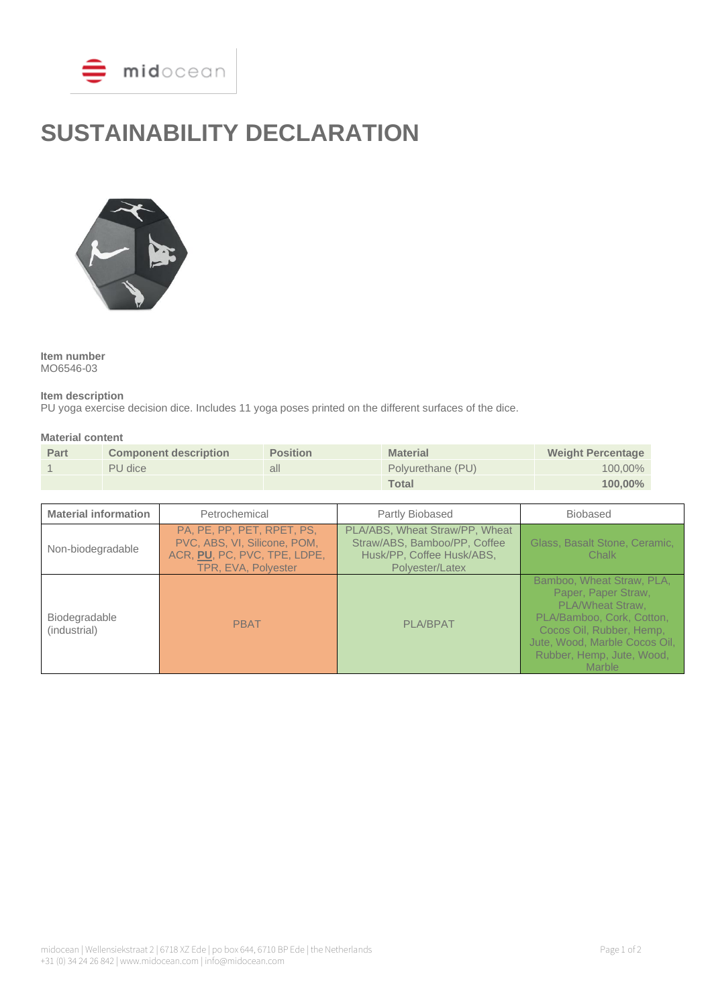

# **SUSTAINABILITY DECLARATION**



**Item number** MO6546-03

### **Item description**

PU yoga exercise decision dice. Includes 11 yoga poses printed on the different surfaces of the dice.

#### **Material content**

| Part | <b>Component description</b> | <b>Position</b> | <b>Material</b>   | <b>Weight Percentage</b> |
|------|------------------------------|-----------------|-------------------|--------------------------|
|      | PU dice                      | all             | Polyurethane (PU) | $100,00\%$               |
|      |                              |                 | <b>Total</b>      | $100,00\%$               |

| <b>Material information</b>   | Petrochemical                                                                                                     | Partly Biobased                                                                                                | <b>Biobased</b>                                                                                                                                                                                                     |
|-------------------------------|-------------------------------------------------------------------------------------------------------------------|----------------------------------------------------------------------------------------------------------------|---------------------------------------------------------------------------------------------------------------------------------------------------------------------------------------------------------------------|
| Non-biodegradable             | PA, PE, PP, PET, RPET, PS,<br>PVC, ABS, VI, Silicone, POM,<br>ACR, PU, PC, PVC, TPE, LDPE,<br>TPR, EVA, Polyester | PLA/ABS, Wheat Straw/PP, Wheat<br>Straw/ABS, Bamboo/PP, Coffee<br>Husk/PP, Coffee Husk/ABS,<br>Polyester/Latex | Glass, Basalt Stone, Ceramic,<br>Chalk                                                                                                                                                                              |
| Biodegradable<br>(industrial) | <b>PBAT</b>                                                                                                       | <b>PLA/BPAT</b>                                                                                                | Bamboo, Wheat Straw, PLA,<br>Paper, Paper Straw,<br><b>PLA/Wheat Straw.</b><br>PLA/Bamboo, Cork, Cotton,<br>Cocos Oil, Rubber, Hemp,<br>Jute, Wood, Marble Cocos Oil,<br>Rubber, Hemp, Jute, Wood,<br><b>Marble</b> |